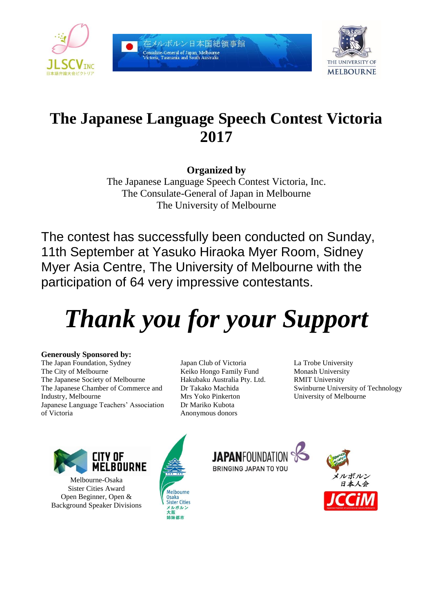

在メルボルン日本国総領事館 Consulate-General of Japan, Melb Victoria, Tasmania and



# **The Japanese Language Speech Contest Victoria 2017**

**Organized by**

The Japanese Language Speech Contest Victoria, Inc. The Consulate-General of Japan in Melbourne The University of Melbourne

The contest has successfully been conducted on Sunday, 11th September at Yasuko Hiraoka Myer Room, Sidney Myer Asia Centre, The University of Melbourne with the participation of 64 very impressive contestants.

# *Thank you for your Support*

### **Generously Sponsored by:**

The Japan Foundation, Sydney The City of Melbourne The Japanese Society of Melbourne The Japanese Chamber of Commerce and Industry, Melbourne Japanese Language Teachers' Association of Victoria

Japan Club of Victoria Keiko Hongo Family Fund Hakubaku Australia Pty. Ltd. Dr Takako Machida Mrs Yoko Pinkerton Dr Mariko Kubota Anonymous donors

La Trobe University Monash University RMIT University Swinburne University of Technology University of Melbourne



Melbourne-Osaka Sister Cities Award Open Beginner, Open & Background Speaker Divisions